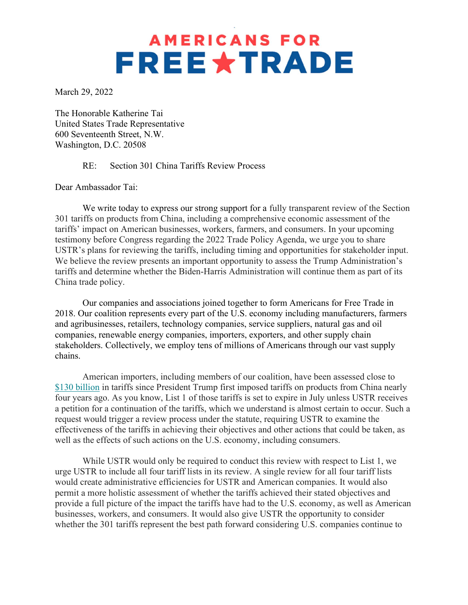## **AMERICANS FOR FREE \*TRADE**

March 29, 2022

The Honorable Katherine Tai United States Trade Representative 600 Seventeenth Street, N.W. Washington, D.C. 20508

RE: Section 301 China Tariffs Review Process

Dear Ambassador Tai:

 We write today to express our strong support for a fully transparent review of the Section 301 tariffs on products from China, including a comprehensive economic assessment of the tariffs' impact on American businesses, workers, farmers, and consumers. In your upcoming testimony before Congress regarding the 2022 Trade Policy Agenda, we urge you to share USTR's plans for reviewing the tariffs, including timing and opportunities for stakeholder input. We believe the review presents an important opportunity to assess the Trump Administration's tariffs and determine whether the Biden-Harris Administration will continue them as part of its China trade policy.

 Our companies and associations joined together to form Americans for Free Trade in 2018. Our coalition represents every part of the U.S. economy including manufacturers, farmers and agribusinesses, retailers, technology companies, service suppliers, natural gas and oil companies, renewable energy companies, importers, exporters, and other supply chain stakeholders. Collectively, we employ tens of millions of Americans through our vast supply chains.

American importers, including members of our coalition, have been assessed close to \$130 billion in tariffs since President Trump first imposed tariffs on products from China nearly four years ago. As you know, List 1 of those tariffs is set to expire in July unless USTR receives a petition for a continuation of the tariffs, which we understand is almost certain to occur. Such a request would trigger a review process under the statute, requiring USTR to examine the effectiveness of the tariffs in achieving their objectives and other actions that could be taken, as well as the effects of such actions on the U.S. economy, including consumers.

While USTR would only be required to conduct this review with respect to List 1, we urge USTR to include all four tariff lists in its review. A single review for all four tariff lists would create administrative efficiencies for USTR and American companies. It would also permit a more holistic assessment of whether the tariffs achieved their stated objectives and provide a full picture of the impact the tariffs have had to the U.S. economy, as well as American businesses, workers, and consumers. It would also give USTR the opportunity to consider whether the 301 tariffs represent the best path forward considering U.S. companies continue to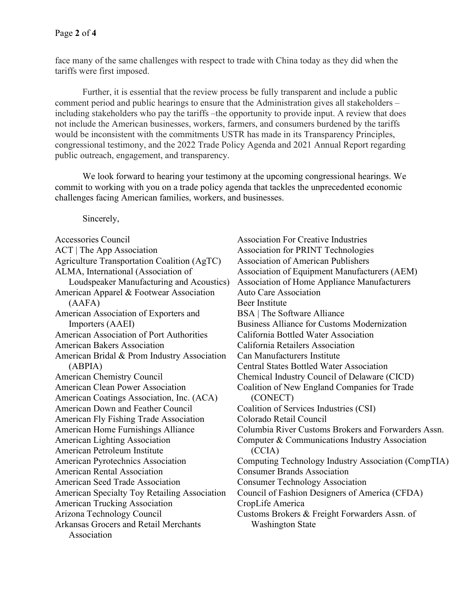face many of the same challenges with respect to trade with China today as they did when the tariffs were first imposed.

Further, it is essential that the review process be fully transparent and include a public comment period and public hearings to ensure that the Administration gives all stakeholders – including stakeholders who pay the tariffs –the opportunity to provide input. A review that does not include the American businesses, workers, farmers, and consumers burdened by the tariffs would be inconsistent with the commitments USTR has made in its Transparency Principles, congressional testimony, and the 2022 Trade Policy Agenda and 2021 Annual Report regarding public outreach, engagement, and transparency.

We look forward to hearing your testimony at the upcoming congressional hearings. We commit to working with you on a trade policy agenda that tackles the unprecedented economic challenges facing American families, workers, and businesses.

Sincerely,

Accessories Council ACT | The App Association Agriculture Transportation Coalition (AgTC) ALMA, International (Association of Loudspeaker Manufacturing and Acoustics) American Apparel & Footwear Association (AAFA) American Association of Exporters and Importers (AAEI) American Association of Port Authorities American Bakers Association American Bridal & Prom Industry Association (ABPIA) American Chemistry Council American Clean Power Association American Coatings Association, Inc. (ACA) American Down and Feather Council American Fly Fishing Trade Association American Home Furnishings Alliance American Lighting Association American Petroleum Institute American Pyrotechnics Association American Rental Association American Seed Trade Association American Specialty Toy Retailing Association American Trucking Association Arizona Technology Council Arkansas Grocers and Retail Merchants Association

Association For Creative Industries Association for PRINT Technologies Association of American Publishers Association of Equipment Manufacturers (AEM) Association of Home Appliance Manufacturers Auto Care Association Beer Institute BSA | The Software Alliance Business Alliance for Customs Modernization California Bottled Water Association California Retailers Association Can Manufacturers Institute Central States Bottled Water Association Chemical Industry Council of Delaware (CICD) Coalition of New England Companies for Trade (CONECT) Coalition of Services Industries (CSI) Colorado Retail Council Columbia River Customs Brokers and Forwarders Assn. Computer & Communications Industry Association (CCIA) Computing Technology Industry Association (CompTIA) Consumer Brands Association Consumer Technology Association Council of Fashion Designers of America (CFDA) CropLife America Customs Brokers & Freight Forwarders Assn. of Washington State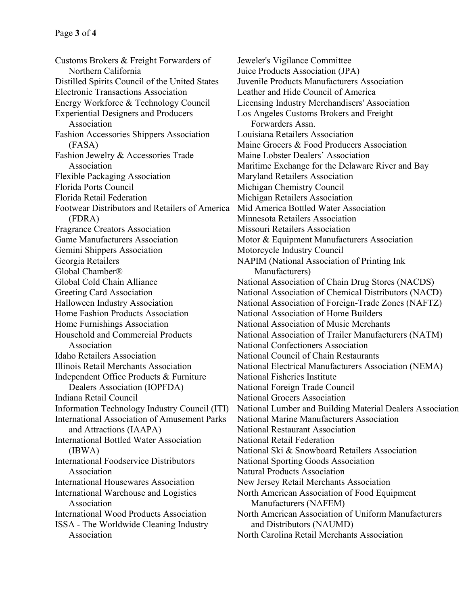Customs Brokers & Freight Forwarders of Northern California Distilled Spirits Council of the United States Electronic Transactions Association Energy Workforce & Technology Council Experiential Designers and Producers Association Fashion Accessories Shippers Association (FASA) Fashion Jewelry & Accessories Trade Association Flexible Packaging Association Florida Ports Council Florida Retail Federation Footwear Distributors and Retailers of America (FDRA) Fragrance Creators Association Game Manufacturers Association Gemini Shippers Association Georgia Retailers Global Chamber® Global Cold Chain Alliance Greeting Card Association Halloween Industry Association Home Fashion Products Association Home Furnishings Association Household and Commercial Products Association Idaho Retailers Association Illinois Retail Merchants Association Independent Office Products & Furniture Dealers Association (IOPFDA) Indiana Retail Council Information Technology Industry Council (ITI) International Association of Amusement Parks and Attractions (IAAPA) International Bottled Water Association (IBWA) International Foodservice Distributors Association International Housewares Association International Warehouse and Logistics Association International Wood Products Association ISSA - The Worldwide Cleaning Industry Association

Jeweler's Vigilance Committee Juice Products Association (JPA) Juvenile Products Manufacturers Association Leather and Hide Council of America Licensing Industry Merchandisers' Association Los Angeles Customs Brokers and Freight Forwarders Assn. Louisiana Retailers Association Maine Grocers & Food Producers Association Maine Lobster Dealers' Association Maritime Exchange for the Delaware River and Bay Maryland Retailers Association Michigan Chemistry Council Michigan Retailers Association Mid America Bottled Water Association Minnesota Retailers Association Missouri Retailers Association Motor & Equipment Manufacturers Association Motorcycle Industry Council NAPIM (National Association of Printing Ink Manufacturers) National Association of Chain Drug Stores (NACDS) National Association of Chemical Distributors (NACD) National Association of Foreign-Trade Zones (NAFTZ) National Association of Home Builders National Association of Music Merchants National Association of Trailer Manufacturers (NATM) National Confectioners Association National Council of Chain Restaurants National Electrical Manufacturers Association (NEMA) National Fisheries Institute National Foreign Trade Council National Grocers Association National Lumber and Building Material Dealers Association National Marine Manufacturers Association National Restaurant Association National Retail Federation National Ski & Snowboard Retailers Association National Sporting Goods Association Natural Products Association New Jersey Retail Merchants Association North American Association of Food Equipment Manufacturers (NAFEM) North American Association of Uniform Manufacturers and Distributors (NAUMD) North Carolina Retail Merchants Association